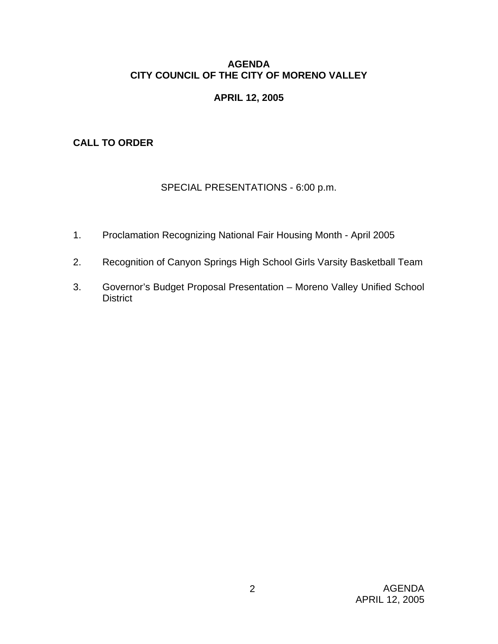### **AGENDA CITY COUNCIL OF THE CITY OF MORENO VALLEY**

# **APRIL 12, 2005**

# **CALL TO ORDER**

# SPECIAL PRESENTATIONS - 6:00 p.m.

- 1. Proclamation Recognizing National Fair Housing Month April 2005
- 2. Recognition of Canyon Springs High School Girls Varsity Basketball Team
- 3. Governor's Budget Proposal Presentation Moreno Valley Unified School **District**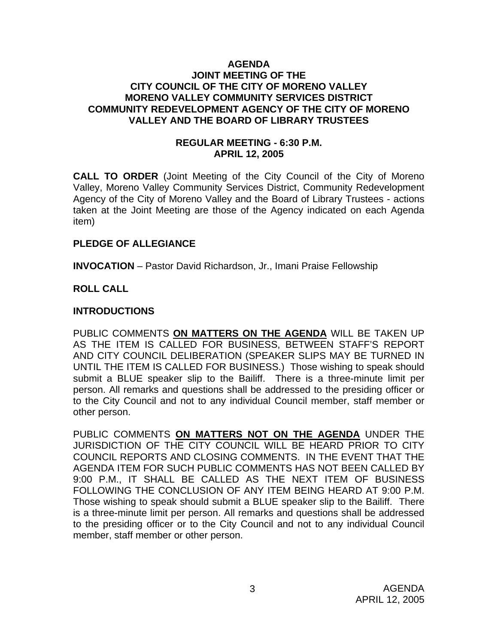#### **AGENDA JOINT MEETING OF THE CITY COUNCIL OF THE CITY OF MORENO VALLEY MORENO VALLEY COMMUNITY SERVICES DISTRICT COMMUNITY REDEVELOPMENT AGENCY OF THE CITY OF MORENO VALLEY AND THE BOARD OF LIBRARY TRUSTEES**

### **REGULAR MEETING - 6:30 P.M. APRIL 12, 2005**

**CALL TO ORDER** (Joint Meeting of the City Council of the City of Moreno Valley, Moreno Valley Community Services District, Community Redevelopment Agency of the City of Moreno Valley and the Board of Library Trustees - actions taken at the Joint Meeting are those of the Agency indicated on each Agenda item)

### **PLEDGE OF ALLEGIANCE**

**INVOCATION** – Pastor David Richardson, Jr., Imani Praise Fellowship

### **ROLL CALL**

### **INTRODUCTIONS**

PUBLIC COMMENTS **ON MATTERS ON THE AGENDA** WILL BE TAKEN UP AS THE ITEM IS CALLED FOR BUSINESS, BETWEEN STAFF'S REPORT AND CITY COUNCIL DELIBERATION (SPEAKER SLIPS MAY BE TURNED IN UNTIL THE ITEM IS CALLED FOR BUSINESS.) Those wishing to speak should submit a BLUE speaker slip to the Bailiff. There is a three-minute limit per person. All remarks and questions shall be addressed to the presiding officer or to the City Council and not to any individual Council member, staff member or other person.

PUBLIC COMMENTS **ON MATTERS NOT ON THE AGENDA** UNDER THE JURISDICTION OF THE CITY COUNCIL WILL BE HEARD PRIOR TO CITY COUNCIL REPORTS AND CLOSING COMMENTS. IN THE EVENT THAT THE AGENDA ITEM FOR SUCH PUBLIC COMMENTS HAS NOT BEEN CALLED BY 9:00 P.M., IT SHALL BE CALLED AS THE NEXT ITEM OF BUSINESS FOLLOWING THE CONCLUSION OF ANY ITEM BEING HEARD AT 9:00 P.M. Those wishing to speak should submit a BLUE speaker slip to the Bailiff. There is a three-minute limit per person. All remarks and questions shall be addressed to the presiding officer or to the City Council and not to any individual Council member, staff member or other person.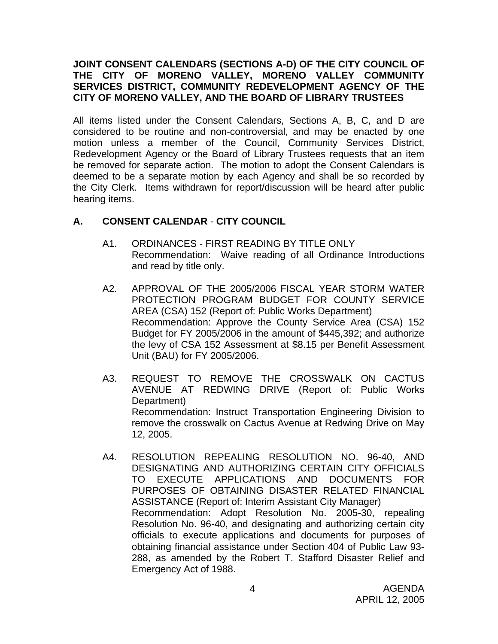### **JOINT CONSENT CALENDARS (SECTIONS A-D) OF THE CITY COUNCIL OF THE CITY OF MORENO VALLEY, MORENO VALLEY COMMUNITY SERVICES DISTRICT, COMMUNITY REDEVELOPMENT AGENCY OF THE CITY OF MORENO VALLEY, AND THE BOARD OF LIBRARY TRUSTEES**

All items listed under the Consent Calendars, Sections A, B, C, and D are considered to be routine and non-controversial, and may be enacted by one motion unless a member of the Council, Community Services District, Redevelopment Agency or the Board of Library Trustees requests that an item be removed for separate action. The motion to adopt the Consent Calendars is deemed to be a separate motion by each Agency and shall be so recorded by the City Clerk. Items withdrawn for report/discussion will be heard after public hearing items.

# **A. CONSENT CALENDAR** - **CITY COUNCIL**

- A1. ORDINANCES FIRST READING BY TITLE ONLY Recommendation: Waive reading of all Ordinance Introductions and read by title only.
- A2. APPROVAL OF THE 2005/2006 FISCAL YEAR STORM WATER PROTECTION PROGRAM BUDGET FOR COUNTY SERVICE AREA (CSA) 152 (Report of: Public Works Department) Recommendation: Approve the County Service Area (CSA) 152 Budget for FY 2005/2006 in the amount of \$445,392; and authorize the levy of CSA 152 Assessment at \$8.15 per Benefit Assessment Unit (BAU) for FY 2005/2006.
- A3. REQUEST TO REMOVE THE CROSSWALK ON CACTUS AVENUE AT REDWING DRIVE (Report of: Public Works Department) Recommendation: Instruct Transportation Engineering Division to remove the crosswalk on Cactus Avenue at Redwing Drive on May 12, 2005.
- A4. RESOLUTION REPEALING RESOLUTION NO. 96-40, AND DESIGNATING AND AUTHORIZING CERTAIN CITY OFFICIALS TO EXECUTE APPLICATIONS AND DOCUMENTS FOR PURPOSES OF OBTAINING DISASTER RELATED FINANCIAL ASSISTANCE (Report of: Interim Assistant City Manager) Recommendation: Adopt Resolution No. 2005-30, repealing Resolution No. 96-40, and designating and authorizing certain city officials to execute applications and documents for purposes of obtaining financial assistance under Section 404 of Public Law 93- 288, as amended by the Robert T. Stafford Disaster Relief and Emergency Act of 1988.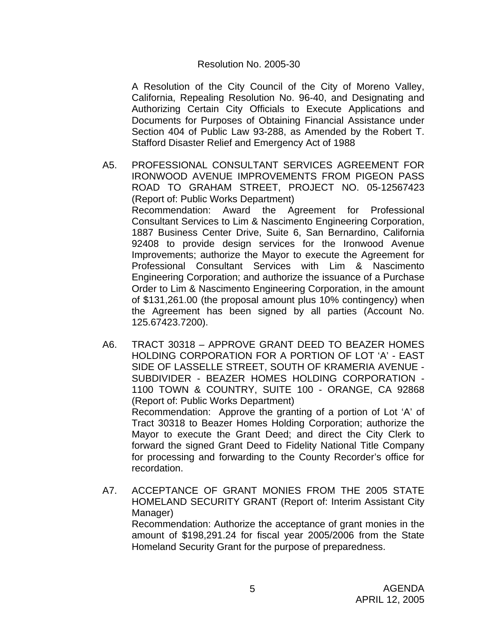#### Resolution No. 2005-30

 A Resolution of the City Council of the City of Moreno Valley, California, Repealing Resolution No. 96-40, and Designating and Authorizing Certain City Officials to Execute Applications and Documents for Purposes of Obtaining Financial Assistance under Section 404 of Public Law 93-288, as Amended by the Robert T. Stafford Disaster Relief and Emergency Act of 1988

- A5. PROFESSIONAL CONSULTANT SERVICES AGREEMENT FOR IRONWOOD AVENUE IMPROVEMENTS FROM PIGEON PASS ROAD TO GRAHAM STREET, PROJECT NO. 05-12567423 (Report of: Public Works Department) Recommendation: Award the Agreement for Professional Consultant Services to Lim & Nascimento Engineering Corporation, 1887 Business Center Drive, Suite 6, San Bernardino, California 92408 to provide design services for the Ironwood Avenue Improvements; authorize the Mayor to execute the Agreement for Professional Consultant Services with Lim & Nascimento Engineering Corporation; and authorize the issuance of a Purchase Order to Lim & Nascimento Engineering Corporation, in the amount of \$131,261.00 (the proposal amount plus 10% contingency) when the Agreement has been signed by all parties (Account No. 125.67423.7200).
- A6. TRACT 30318 APPROVE GRANT DEED TO BEAZER HOMES HOLDING CORPORATION FOR A PORTION OF LOT 'A' - EAST SIDE OF LASSELLE STREET, SOUTH OF KRAMERIA AVENUE - SUBDIVIDER - BEAZER HOMES HOLDING CORPORATION - 1100 TOWN & COUNTRY, SUITE 100 - ORANGE, CA 92868 (Report of: Public Works Department) Recommendation: Approve the granting of a portion of Lot 'A' of Tract 30318 to Beazer Homes Holding Corporation; authorize the Mayor to execute the Grant Deed; and direct the City Clerk to forward the signed Grant Deed to Fidelity National Title Company for processing and forwarding to the County Recorder's office for recordation.
- A7. ACCEPTANCE OF GRANT MONIES FROM THE 2005 STATE HOMELAND SECURITY GRANT (Report of: Interim Assistant City Manager) Recommendation: Authorize the acceptance of grant monies in the amount of \$198,291.24 for fiscal year 2005/2006 from the State Homeland Security Grant for the purpose of preparedness.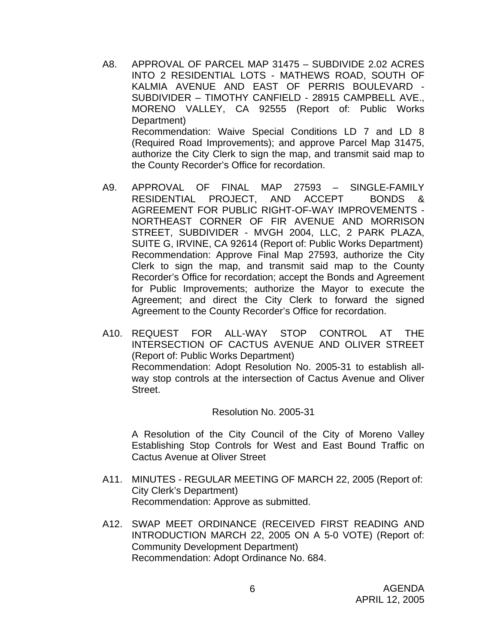- A8. APPROVAL OF PARCEL MAP 31475 SUBDIVIDE 2.02 ACRES INTO 2 RESIDENTIAL LOTS - MATHEWS ROAD, SOUTH OF KALMIA AVENUE AND EAST OF PERRIS BOULEVARD - SUBDIVIDER – TIMOTHY CANFIELD - 28915 CAMPBELL AVE., MORENO VALLEY, CA 92555 (Report of: Public Works Department) Recommendation: Waive Special Conditions LD 7 and LD 8 (Required Road Improvements); and approve Parcel Map 31475, authorize the City Clerk to sign the map, and transmit said map to the County Recorder's Office for recordation.
- A9. APPROVAL OF FINAL MAP 27593 SINGLE-FAMILY RESIDENTIAL PROJECT, AND ACCEPT BONDS & AGREEMENT FOR PUBLIC RIGHT-OF-WAY IMPROVEMENTS - NORTHEAST CORNER OF FIR AVENUE AND MORRISON STREET, SUBDIVIDER - MVGH 2004, LLC, 2 PARK PLAZA, SUITE G, IRVINE, CA 92614 (Report of: Public Works Department) Recommendation: Approve Final Map 27593, authorize the City Clerk to sign the map, and transmit said map to the County Recorder's Office for recordation; accept the Bonds and Agreement for Public Improvements; authorize the Mayor to execute the Agreement; and direct the City Clerk to forward the signed Agreement to the County Recorder's Office for recordation.
- A10. REQUEST FOR ALL-WAY STOP CONTROL AT THE INTERSECTION OF CACTUS AVENUE AND OLIVER STREET (Report of: Public Works Department) Recommendation: Adopt Resolution No. 2005-31 to establish allway stop controls at the intersection of Cactus Avenue and Oliver Street.

Resolution No. 2005-31

 A Resolution of the City Council of the City of Moreno Valley Establishing Stop Controls for West and East Bound Traffic on Cactus Avenue at Oliver Street

- A11. MINUTES REGULAR MEETING OF MARCH 22, 2005 (Report of: City Clerk's Department) Recommendation: Approve as submitted.
- A12. SWAP MEET ORDINANCE (RECEIVED FIRST READING AND INTRODUCTION MARCH 22, 2005 ON A 5-0 VOTE) (Report of: Community Development Department) Recommendation: Adopt Ordinance No. 684.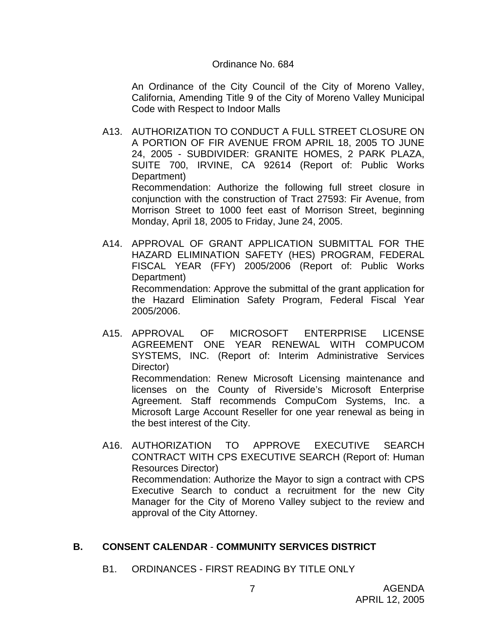#### Ordinance No. 684

An Ordinance of the City Council of the City of Moreno Valley, California, Amending Title 9 of the City of Moreno Valley Municipal Code with Respect to Indoor Malls

- A13. AUTHORIZATION TO CONDUCT A FULL STREET CLOSURE ON A PORTION OF FIR AVENUE FROM APRIL 18, 2005 TO JUNE 24, 2005 - SUBDIVIDER: GRANITE HOMES, 2 PARK PLAZA, SUITE 700, IRVINE, CA 92614 (Report of: Public Works Department) Recommendation: Authorize the following full street closure in conjunction with the construction of Tract 27593: Fir Avenue, from Morrison Street to 1000 feet east of Morrison Street, beginning Monday, April 18, 2005 to Friday, June 24, 2005.
- A14. APPROVAL OF GRANT APPLICATION SUBMITTAL FOR THE HAZARD ELIMINATION SAFETY (HES) PROGRAM, FEDERAL FISCAL YEAR (FFY) 2005/2006 (Report of: Public Works Department) Recommendation: Approve the submittal of the grant application for the Hazard Elimination Safety Program, Federal Fiscal Year 2005/2006.
- A15. APPROVAL OF MICROSOFT ENTERPRISE LICENSE AGREEMENT ONE YEAR RENEWAL WITH COMPUCOM SYSTEMS, INC. (Report of: Interim Administrative Services Director) Recommendation: Renew Microsoft Licensing maintenance and licenses on the County of Riverside's Microsoft Enterprise Agreement. Staff recommends CompuCom Systems, Inc. a Microsoft Large Account Reseller for one year renewal as being in the best interest of the City.
- A16. AUTHORIZATION TO APPROVE EXECUTIVE SEARCH CONTRACT WITH CPS EXECUTIVE SEARCH (Report of: Human Resources Director) Recommendation: Authorize the Mayor to sign a contract with CPS Executive Search to conduct a recruitment for the new City Manager for the City of Moreno Valley subject to the review and approval of the City Attorney.

# **B. CONSENT CALENDAR** - **COMMUNITY SERVICES DISTRICT**

B1. ORDINANCES - FIRST READING BY TITLE ONLY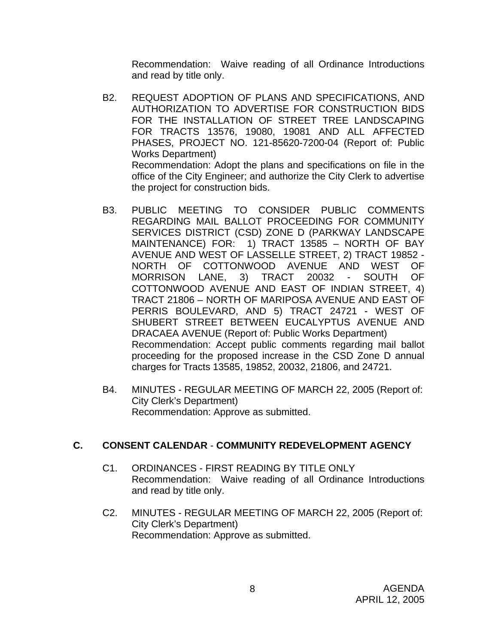Recommendation: Waive reading of all Ordinance Introductions and read by title only.

- B2. REQUEST ADOPTION OF PLANS AND SPECIFICATIONS, AND AUTHORIZATION TO ADVERTISE FOR CONSTRUCTION BIDS FOR THE INSTALLATION OF STREET TREE LANDSCAPING FOR TRACTS 13576, 19080, 19081 AND ALL AFFECTED PHASES, PROJECT NO. 121-85620-7200-04 (Report of: Public Works Department) Recommendation: Adopt the plans and specifications on file in the office of the City Engineer; and authorize the City Clerk to advertise the project for construction bids.
- B3. PUBLIC MEETING TO CONSIDER PUBLIC COMMENTS REGARDING MAIL BALLOT PROCEEDING FOR COMMUNITY SERVICES DISTRICT (CSD) ZONE D (PARKWAY LANDSCAPE MAINTENANCE) FOR: 1) TRACT 13585 – NORTH OF BAY AVENUE AND WEST OF LASSELLE STREET, 2) TRACT 19852 - NORTH OF COTTONWOOD AVENUE AND WEST OF MORRISON LANE, 3) TRACT 20032 - SOUTH OF COTTONWOOD AVENUE AND EAST OF INDIAN STREET, 4) TRACT 21806 – NORTH OF MARIPOSA AVENUE AND EAST OF PERRIS BOULEVARD, AND 5) TRACT 24721 - WEST OF SHUBERT STREET BETWEEN EUCALYPTUS AVENUE AND DRACAEA AVENUE (Report of: Public Works Department) Recommendation: Accept public comments regarding mail ballot proceeding for the proposed increase in the CSD Zone D annual charges for Tracts 13585, 19852, 20032, 21806, and 24721.
- B4. MINUTES REGULAR MEETING OF MARCH 22, 2005 (Report of: City Clerk's Department) Recommendation: Approve as submitted.

# **C. CONSENT CALENDAR** - **COMMUNITY REDEVELOPMENT AGENCY**

- C1. ORDINANCES FIRST READING BY TITLE ONLY Recommendation: Waive reading of all Ordinance Introductions and read by title only.
- C2. MINUTES REGULAR MEETING OF MARCH 22, 2005 (Report of: City Clerk's Department) Recommendation: Approve as submitted.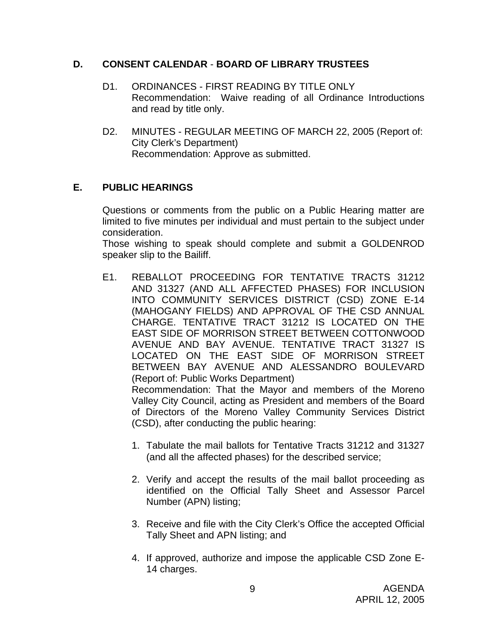### **D. CONSENT CALENDAR** - **BOARD OF LIBRARY TRUSTEES**

- D1. ORDINANCES FIRST READING BY TITLE ONLY Recommendation: Waive reading of all Ordinance Introductions and read by title only.
- D2. MINUTES REGULAR MEETING OF MARCH 22, 2005 (Report of: City Clerk's Department) Recommendation: Approve as submitted.

# **E. PUBLIC HEARINGS**

Questions or comments from the public on a Public Hearing matter are limited to five minutes per individual and must pertain to the subject under consideration.

 Those wishing to speak should complete and submit a GOLDENROD speaker slip to the Bailiff.

E1. REBALLOT PROCEEDING FOR TENTATIVE TRACTS 31212 AND 31327 (AND ALL AFFECTED PHASES) FOR INCLUSION INTO COMMUNITY SERVICES DISTRICT (CSD) ZONE E-14 (MAHOGANY FIELDS) AND APPROVAL OF THE CSD ANNUAL CHARGE. TENTATIVE TRACT 31212 IS LOCATED ON THE EAST SIDE OF MORRISON STREET BETWEEN COTTONWOOD AVENUE AND BAY AVENUE. TENTATIVE TRACT 31327 IS LOCATED ON THE EAST SIDE OF MORRISON STREET BETWEEN BAY AVENUE AND ALESSANDRO BOULEVARD (Report of: Public Works Department)

 Recommendation: That the Mayor and members of the Moreno Valley City Council, acting as President and members of the Board of Directors of the Moreno Valley Community Services District (CSD), after conducting the public hearing:

- 1. Tabulate the mail ballots for Tentative Tracts 31212 and 31327 (and all the affected phases) for the described service;
- 2. Verify and accept the results of the mail ballot proceeding as identified on the Official Tally Sheet and Assessor Parcel Number (APN) listing;
- 3. Receive and file with the City Clerk's Office the accepted Official Tally Sheet and APN listing; and
- 4. If approved, authorize and impose the applicable CSD Zone E-14 charges.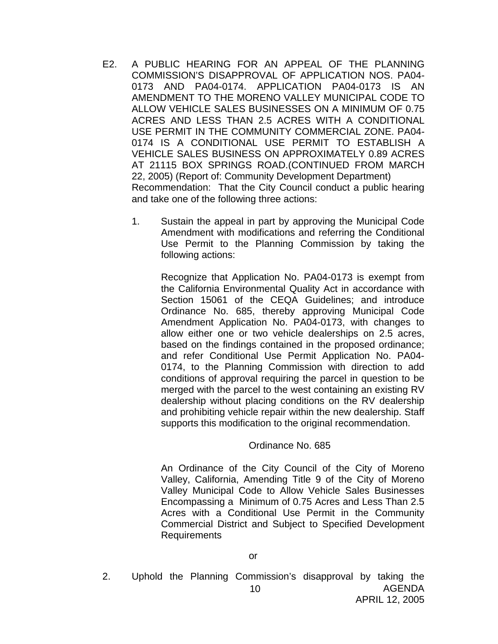- E2. A PUBLIC HEARING FOR AN APPEAL OF THE PLANNING COMMISSION'S DISAPPROVAL OF APPLICATION NOS. PA04- 0173 AND PA04-0174. APPLICATION PA04-0173 IS AN AMENDMENT TO THE MORENO VALLEY MUNICIPAL CODE TO ALLOW VEHICLE SALES BUSINESSES ON A MINIMUM OF 0.75 ACRES AND LESS THAN 2.5 ACRES WITH A CONDITIONAL USE PERMIT IN THE COMMUNITY COMMERCIAL ZONE. PA04- 0174 IS A CONDITIONAL USE PERMIT TO ESTABLISH A VEHICLE SALES BUSINESS ON APPROXIMATELY 0.89 ACRES AT 21115 BOX SPRINGS ROAD.(CONTINUED FROM MARCH 22, 2005) (Report of: Community Development Department) Recommendation: That the City Council conduct a public hearing and take one of the following three actions:
	- 1. Sustain the appeal in part by approving the Municipal Code Amendment with modifications and referring the Conditional Use Permit to the Planning Commission by taking the following actions:

Recognize that Application No. PA04-0173 is exempt from the California Environmental Quality Act in accordance with Section 15061 of the CEQA Guidelines; and introduce Ordinance No. 685, thereby approving Municipal Code Amendment Application No. PA04-0173, with changes to allow either one or two vehicle dealerships on 2.5 acres, based on the findings contained in the proposed ordinance; and refer Conditional Use Permit Application No. PA04- 0174, to the Planning Commission with direction to add conditions of approval requiring the parcel in question to be merged with the parcel to the west containing an existing RV dealership without placing conditions on the RV dealership and prohibiting vehicle repair within the new dealership. Staff supports this modification to the original recommendation.

### Ordinance No. 685

An Ordinance of the City Council of the City of Moreno Valley, California, Amending Title 9 of the City of Moreno Valley Municipal Code to Allow Vehicle Sales Businesses Encompassing a Minimum of 0.75 Acres and Less Than 2.5 Acres with a Conditional Use Permit in the Community Commercial District and Subject to Specified Development Requirements

AGENDA APRIL 12, 2005 10 2. Uphold the Planning Commission's disapproval by taking the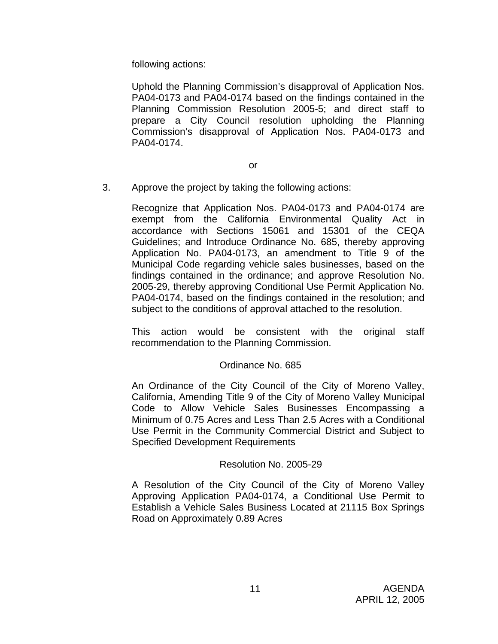following actions:

Uphold the Planning Commission's disapproval of Application Nos. PA04-0173 and PA04-0174 based on the findings contained in the Planning Commission Resolution 2005-5; and direct staff to prepare a City Council resolution upholding the Planning Commission's disapproval of Application Nos. PA04-0173 and PA04-0174.

3. Approve the project by taking the following actions:

Recognize that Application Nos. PA04-0173 and PA04-0174 are exempt from the California Environmental Quality Act in accordance with Sections 15061 and 15301 of the CEQA Guidelines; and Introduce Ordinance No. 685, thereby approving Application No. PA04-0173, an amendment to Title 9 of the Municipal Code regarding vehicle sales businesses, based on the findings contained in the ordinance; and approve Resolution No. 2005-29, thereby approving Conditional Use Permit Application No. PA04-0174, based on the findings contained in the resolution; and subject to the conditions of approval attached to the resolution.

This action would be consistent with the original staff recommendation to the Planning Commission.

### Ordinance No. 685

An Ordinance of the City Council of the City of Moreno Valley, California, Amending Title 9 of the City of Moreno Valley Municipal Code to Allow Vehicle Sales Businesses Encompassing a Minimum of 0.75 Acres and Less Than 2.5 Acres with a Conditional Use Permit in the Community Commercial District and Subject to Specified Development Requirements

### Resolution No. 2005-29

A Resolution of the City Council of the City of Moreno Valley Approving Application PA04-0174, a Conditional Use Permit to Establish a Vehicle Sales Business Located at 21115 Box Springs Road on Approximately 0.89 Acres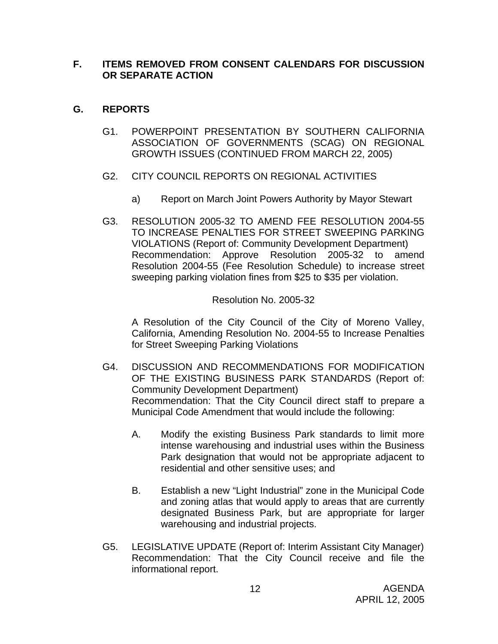### **F. ITEMS REMOVED FROM CONSENT CALENDARS FOR DISCUSSION OR SEPARATE ACTION**

# **G. REPORTS**

- G1. POWERPOINT PRESENTATION BY SOUTHERN CALIFORNIA ASSOCIATION OF GOVERNMENTS (SCAG) ON REGIONAL GROWTH ISSUES (CONTINUED FROM MARCH 22, 2005)
- G2. CITY COUNCIL REPORTS ON REGIONAL ACTIVITIES
	- a) Report on March Joint Powers Authority by Mayor Stewart
- G3. RESOLUTION 2005-32 TO AMEND FEE RESOLUTION 2004-55 TO INCREASE PENALTIES FOR STREET SWEEPING PARKING VIOLATIONS (Report of: Community Development Department) Recommendation: Approve Resolution 2005-32 to amend Resolution 2004-55 (Fee Resolution Schedule) to increase street sweeping parking violation fines from \$25 to \$35 per violation.

### Resolution No. 2005-32

 A Resolution of the City Council of the City of Moreno Valley, California, Amending Resolution No. 2004-55 to Increase Penalties for Street Sweeping Parking Violations

- G4. DISCUSSION AND RECOMMENDATIONS FOR MODIFICATION OF THE EXISTING BUSINESS PARK STANDARDS (Report of: Community Development Department) Recommendation: That the City Council direct staff to prepare a Municipal Code Amendment that would include the following:
	- A. Modify the existing Business Park standards to limit more intense warehousing and industrial uses within the Business Park designation that would not be appropriate adjacent to residential and other sensitive uses; and
	- B. Establish a new "Light Industrial" zone in the Municipal Code and zoning atlas that would apply to areas that are currently designated Business Park, but are appropriate for larger warehousing and industrial projects.
- G5. LEGISLATIVE UPDATE (Report of: Interim Assistant City Manager) Recommendation: That the City Council receive and file the informational report.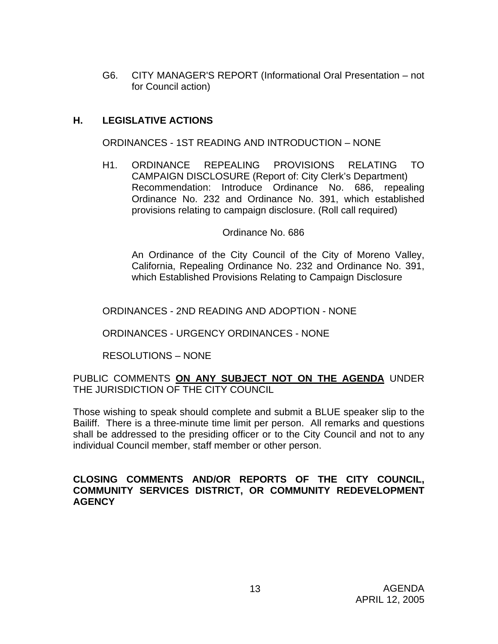G6. CITY MANAGER'S REPORT (Informational Oral Presentation – not for Council action)

# **H. LEGISLATIVE ACTIONS**

ORDINANCES - 1ST READING AND INTRODUCTION – NONE

H1. ORDINANCE REPEALING PROVISIONS RELATING TO CAMPAIGN DISCLOSURE (Report of: City Clerk's Department) Recommendation: Introduce Ordinance No. 686, repealing Ordinance No. 232 and Ordinance No. 391, which established provisions relating to campaign disclosure. (Roll call required)

### Ordinance No. 686

 An Ordinance of the City Council of the City of Moreno Valley, California, Repealing Ordinance No. 232 and Ordinance No. 391, which Established Provisions Relating to Campaign Disclosure

ORDINANCES - 2ND READING AND ADOPTION - NONE

ORDINANCES - URGENCY ORDINANCES - NONE

RESOLUTIONS – NONE

PUBLIC COMMENTS **ON ANY SUBJECT NOT ON THE AGENDA** UNDER THE JURISDICTION OF THE CITY COUNCIL

Those wishing to speak should complete and submit a BLUE speaker slip to the Bailiff. There is a three-minute time limit per person. All remarks and questions shall be addressed to the presiding officer or to the City Council and not to any individual Council member, staff member or other person.

### **CLOSING COMMENTS AND/OR REPORTS OF THE CITY COUNCIL, COMMUNITY SERVICES DISTRICT, OR COMMUNITY REDEVELOPMENT AGENCY**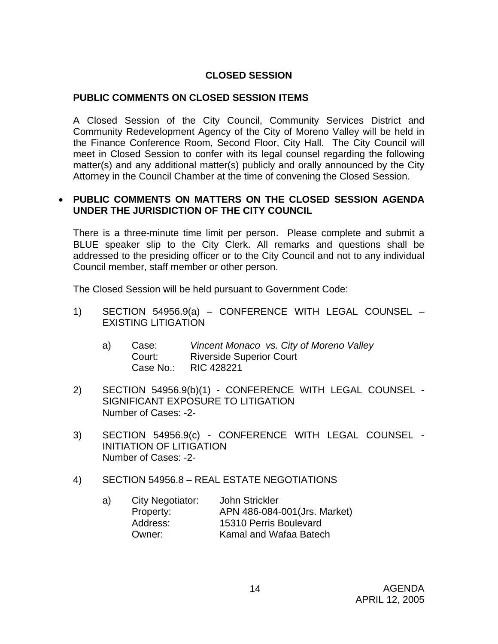# **CLOSED SESSION**

### **PUBLIC COMMENTS ON CLOSED SESSION ITEMS**

A Closed Session of the City Council, Community Services District and Community Redevelopment Agency of the City of Moreno Valley will be held in the Finance Conference Room, Second Floor, City Hall. The City Council will meet in Closed Session to confer with its legal counsel regarding the following matter(s) and any additional matter(s) publicly and orally announced by the City Attorney in the Council Chamber at the time of convening the Closed Session.

### • **PUBLIC COMMENTS ON MATTERS ON THE CLOSED SESSION AGENDA UNDER THE JURISDICTION OF THE CITY COUNCIL**

There is a three-minute time limit per person. Please complete and submit a BLUE speaker slip to the City Clerk. All remarks and questions shall be addressed to the presiding officer or to the City Council and not to any individual Council member, staff member or other person.

The Closed Session will be held pursuant to Government Code:

- 1) SECTION 54956.9(a) CONFERENCE WITH LEGAL COUNSEL EXISTING LITIGATION
	- a) Case: *Vincent Monaco vs. City of Moreno Valley*  Riverside Superior Court Case No.: RIC 428221
- 2) SECTION 54956.9(b)(1) CONFERENCE WITH LEGAL COUNSEL SIGNIFICANT EXPOSURE TO LITIGATION Number of Cases: -2-
- 3) SECTION 54956.9(c) CONFERENCE WITH LEGAL COUNSEL INITIATION OF LITIGATION Number of Cases: -2-

### 4) SECTION 54956.8 – REAL ESTATE NEGOTIATIONS

a) City Negotiator: John Strickler Property: APN 486-084-001(Jrs. Market) Address: 15310 Perris Boulevard **Owner:** Kamal and Wafaa Batech